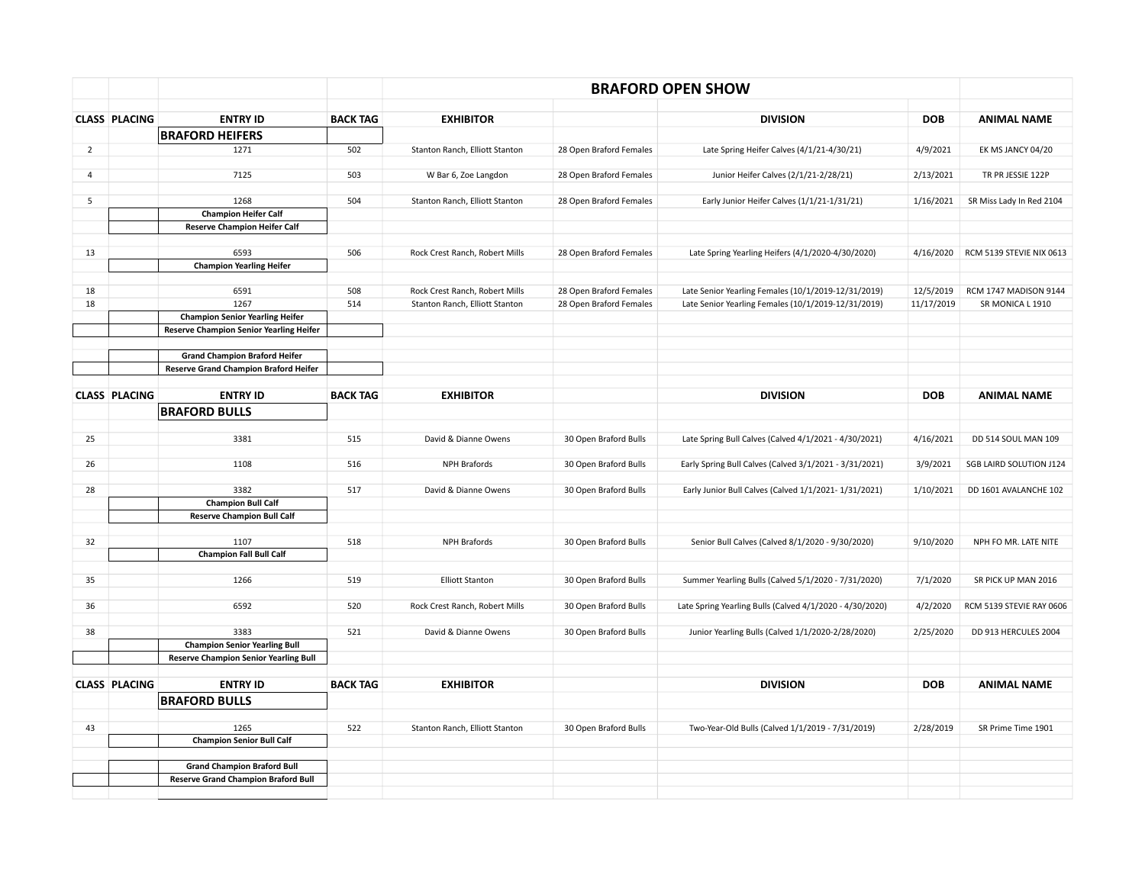|                | <b>CLASS PLACING</b> | <b>ENTRY ID</b>                              | <b>BACK TAG</b> | <b>EXHIBITOR</b>               |                         | <b>DIVISION</b>                                          | <b>DOB</b> | <b>ANIMAL NAME</b>       |
|----------------|----------------------|----------------------------------------------|-----------------|--------------------------------|-------------------------|----------------------------------------------------------|------------|--------------------------|
|                |                      | <b>BRAFORD HEIFERS</b>                       |                 |                                |                         |                                                          |            |                          |
| $\overline{2}$ |                      | 1271                                         | 502             | Stanton Ranch, Elliott Stanton | 28 Open Braford Females | Late Spring Heifer Calves (4/1/21-4/30/21)               | 4/9/2021   | EK MS JANCY 04/20        |
|                |                      |                                              |                 |                                |                         |                                                          |            |                          |
| $\overline{4}$ |                      | 7125                                         | 503             | W Bar 6, Zoe Langdon           | 28 Open Braford Females | Junior Heifer Calves (2/1/21-2/28/21)                    | 2/13/2021  | TR PR JESSIE 122P        |
| 5              |                      | 1268                                         | 504             | Stanton Ranch, Elliott Stanton | 28 Open Braford Females | Early Junior Heifer Calves (1/1/21-1/31/21)              | 1/16/2021  | SR Miss Lady In Red 2104 |
|                |                      | <b>Champion Heifer Calf</b>                  |                 |                                |                         |                                                          |            |                          |
|                |                      | <b>Reserve Champion Heifer Calf</b>          |                 |                                |                         |                                                          |            |                          |
|                |                      |                                              |                 |                                |                         |                                                          |            |                          |
| 13             |                      | 6593                                         | 506             | Rock Crest Ranch, Robert Mills | 28 Open Braford Females | Late Spring Yearling Heifers (4/1/2020-4/30/2020)        | 4/16/2020  | RCM 5139 STEVIE NIX 0613 |
|                |                      | <b>Champion Yearling Heifer</b>              |                 |                                |                         |                                                          |            |                          |
| 18             |                      | 6591                                         | 508             | Rock Crest Ranch, Robert Mills | 28 Open Braford Females | Late Senior Yearling Females (10/1/2019-12/31/2019)      | 12/5/2019  | RCM 1747 MADISON 9144    |
| 18             |                      | 1267                                         | 514             | Stanton Ranch, Elliott Stanton | 28 Open Braford Females | Late Senior Yearling Females (10/1/2019-12/31/2019)      | 11/17/2019 | SR MONICA L 1910         |
|                |                      | <b>Champion Senior Yearling Heifer</b>       |                 |                                |                         |                                                          |            |                          |
|                |                      | Reserve Champion Senior Yearling Heifer      |                 |                                |                         |                                                          |            |                          |
|                |                      | <b>Grand Champion Braford Heifer</b>         |                 |                                |                         |                                                          |            |                          |
|                |                      | Reserve Grand Champion Braford Heifer        |                 |                                |                         |                                                          |            |                          |
|                |                      |                                              |                 |                                |                         |                                                          |            |                          |
|                | <b>CLASS PLACING</b> | <b>ENTRY ID</b>                              | <b>BACK TAG</b> | <b>EXHIBITOR</b>               |                         | <b>DIVISION</b>                                          | <b>DOB</b> | <b>ANIMAL NAME</b>       |
|                |                      | <b>BRAFORD BULLS</b>                         |                 |                                |                         |                                                          |            |                          |
|                |                      |                                              |                 |                                |                         |                                                          |            |                          |
| 25             |                      | 3381                                         | 515             | David & Dianne Owens           | 30 Open Braford Bulls   | Late Spring Bull Calves (Calved 4/1/2021 - 4/30/2021)    | 4/16/2021  | DD 514 SOUL MAN 109      |
| 26             |                      | 1108                                         | 516             | <b>NPH Brafords</b>            | 30 Open Braford Bulls   | Early Spring Bull Calves (Calved 3/1/2021 - 3/31/2021)   | 3/9/2021   | SGB LAIRD SOLUTION J124  |
|                |                      |                                              |                 |                                |                         |                                                          |            |                          |
| 28             |                      | 3382                                         | 517             | David & Dianne Owens           | 30 Open Braford Bulls   | Early Junior Bull Calves (Calved 1/1/2021-1/31/2021)     | 1/10/2021  | DD 1601 AVALANCHE 102    |
|                |                      | <b>Champion Bull Calf</b>                    |                 |                                |                         |                                                          |            |                          |
|                |                      | <b>Reserve Champion Bull Calf</b>            |                 |                                |                         |                                                          |            |                          |
| 32             |                      | 1107                                         | 518             | NPH Brafords                   | 30 Open Braford Bulls   | Senior Bull Calves (Calved 8/1/2020 - 9/30/2020)         | 9/10/2020  | NPH FO MR. LATE NITE     |
|                |                      | <b>Champion Fall Bull Calf</b>               |                 |                                |                         |                                                          |            |                          |
|                |                      |                                              |                 |                                |                         |                                                          |            |                          |
| 35             |                      | 1266                                         | 519             | <b>Elliott Stanton</b>         | 30 Open Braford Bulls   | Summer Yearling Bulls (Calved 5/1/2020 - 7/31/2020)      | 7/1/2020   | SR PICK UP MAN 2016      |
|                |                      |                                              |                 |                                |                         |                                                          |            |                          |
| 36             |                      | 6592                                         | 520             | Rock Crest Ranch, Robert Mills | 30 Open Braford Bulls   | Late Spring Yearling Bulls (Calved 4/1/2020 - 4/30/2020) | 4/2/2020   | RCM 5139 STEVIE RAY 0606 |
| 38             |                      | 3383                                         | 521             | David & Dianne Owens           | 30 Open Braford Bulls   | Junior Yearling Bulls (Calved 1/1/2020-2/28/2020)        | 2/25/2020  | DD 913 HERCULES 2004     |
|                |                      | <b>Champion Senior Yearling Bull</b>         |                 |                                |                         |                                                          |            |                          |
|                |                      | <b>Reserve Champion Senior Yearling Bull</b> |                 |                                |                         |                                                          |            |                          |
|                |                      |                                              |                 |                                |                         |                                                          |            |                          |
|                | <b>CLASS PLACING</b> | <b>ENTRY ID</b>                              | <b>BACK TAG</b> | <b>EXHIBITOR</b>               |                         | <b>DIVISION</b>                                          | <b>DOB</b> | <b>ANIMAL NAME</b>       |
|                |                      | <b>BRAFORD BULLS</b>                         |                 |                                |                         |                                                          |            |                          |
|                |                      |                                              |                 |                                |                         |                                                          |            |                          |
| 43             |                      | 1265<br><b>Champion Senior Bull Calf</b>     | 522             | Stanton Ranch, Elliott Stanton | 30 Open Braford Bulls   | Two-Year-Old Bulls (Calved 1/1/2019 - 7/31/2019)         | 2/28/2019  | SR Prime Time 1901       |
|                |                      |                                              |                 |                                |                         |                                                          |            |                          |
|                |                      | <b>Grand Champion Braford Bull</b>           |                 |                                |                         |                                                          |            |                          |
|                |                      | <b>Reserve Grand Champion Braford Bull</b>   |                 |                                |                         |                                                          |            |                          |
|                |                      |                                              |                 |                                |                         |                                                          |            |                          |